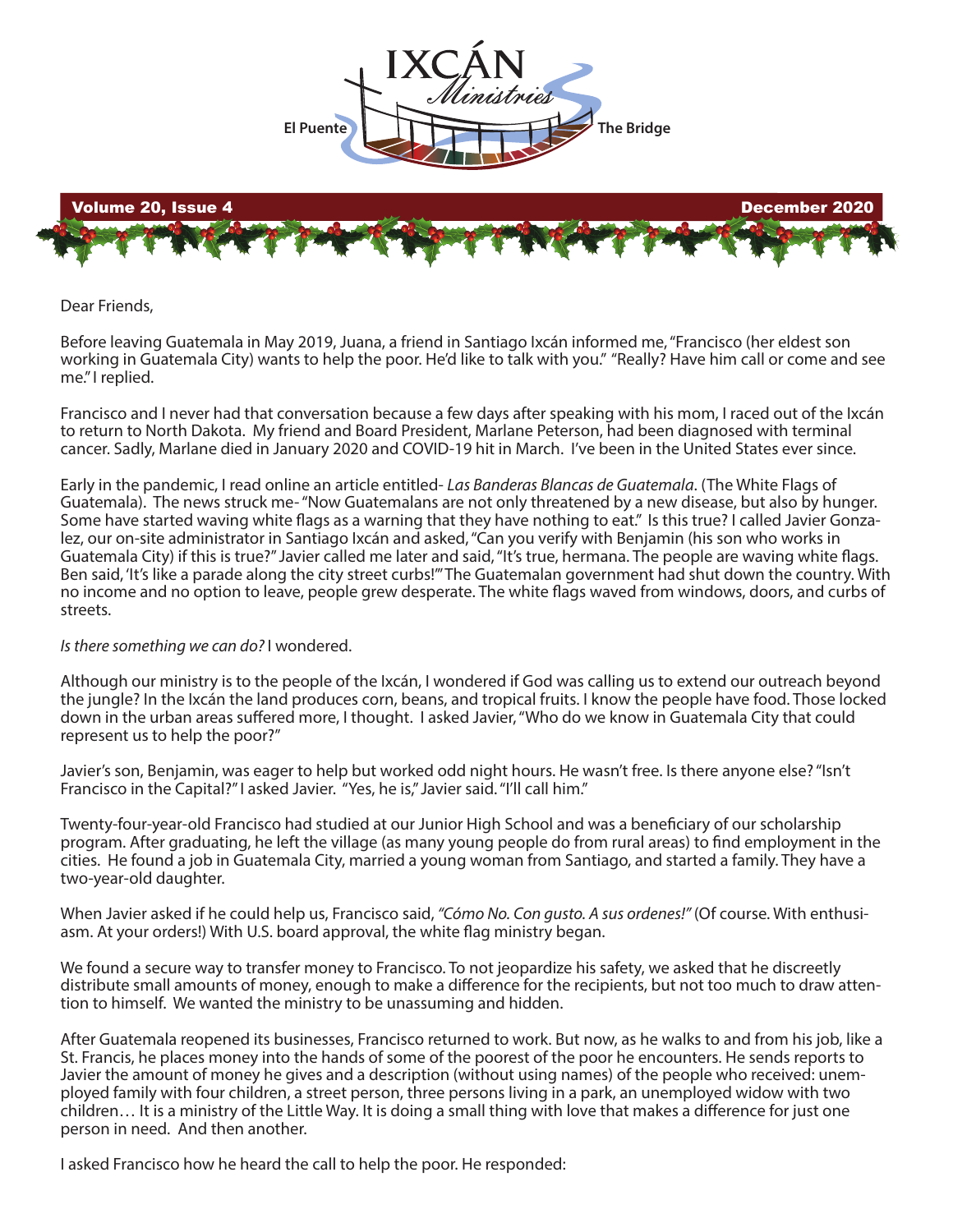

## Dear Friends,

Before leaving Guatemala in May 2019, Juana, a friend in Santiago Ixcán informed me, "Francisco (her eldest son working in Guatemala City) wants to help the poor. He'd like to talk with you." "Really? Have him call or come and see me." I replied.

Francisco and I never had that conversation because a few days after speaking with his mom, I raced out of the Ixcán to return to North Dakota. My friend and Board President, Marlane Peterson, had been diagnosed with terminal cancer. Sadly, Marlane died in January 2020 and COVID-19 hit in March. I've been in the United States ever since.

Early in the pandemic, I read online an article entitled- *Las Banderas Blancas de Guatemala*. (The White Flags of Guatemala). The news struck me- "Now Guatemalans are not only threatened by a new disease, but also by hunger. Some have started waving white flags as a warning that they have nothing to eat." Is this true? I called Javier Gonzalez, our on-site administrator in Santiago Ixcán and asked, "Can you verify with Benjamin (his son who works in Guatemala City) if this is true?" Javier called me later and said, "It's true, hermana. The people are waving white flags. Ben said, 'It's like a parade along the city street curbs!'" The Guatemalan government had shut down the country. With no income and no option to leave, people grew desperate. The white flags waved from windows, doors, and curbs of streets.

## *Is there something we can do?* I wondered.

Although our ministry is to the people of the Ixcán, I wondered if God was calling us to extend our outreach beyond the jungle? In the Ixcán the land produces corn, beans, and tropical fruits. I know the people have food. Those locked down in the urban areas suffered more, I thought. I asked Javier, "Who do we know in Guatemala City that could represent us to help the poor?"

Javier's son, Benjamin, was eager to help but worked odd night hours. He wasn't free. Is there anyone else? "Isn't Francisco in the Capital?" I asked Javier. "Yes, he is," Javier said. "I'll call him."

Twenty-four-year-old Francisco had studied at our Junior High School and was a beneficiary of our scholarship program. After graduating, he left the village (as many young people do from rural areas) to find employment in the cities. He found a job in Guatemala City, married a young woman from Santiago, and started a family. They have a two-year-old daughter.

When Javier asked if he could help us, Francisco said, *"Cómo No. Con gusto. A sus ordenes!"* (Of course. With enthusiasm. At your orders!) With U.S. board approval, the white flag ministry began.

We found a secure way to transfer money to Francisco. To not jeopardize his safety, we asked that he discreetly distribute small amounts of money, enough to make a difference for the recipients, but not too much to draw attention to himself. We wanted the ministry to be unassuming and hidden.

After Guatemala reopened its businesses, Francisco returned to work. But now, as he walks to and from his job, like a St. Francis, he places money into the hands of some of the poorest of the poor he encounters. He sends reports to Javier the amount of money he gives and a description (without using names) of the people who received: unemployed family with four children, a street person, three persons living in a park, an unemployed widow with two children... It is a ministry of the Little Way. It is doing a small thing with love that makes a difference for just one person in need. And then another.

I asked Francisco how he heard the call to help the poor. He responded: